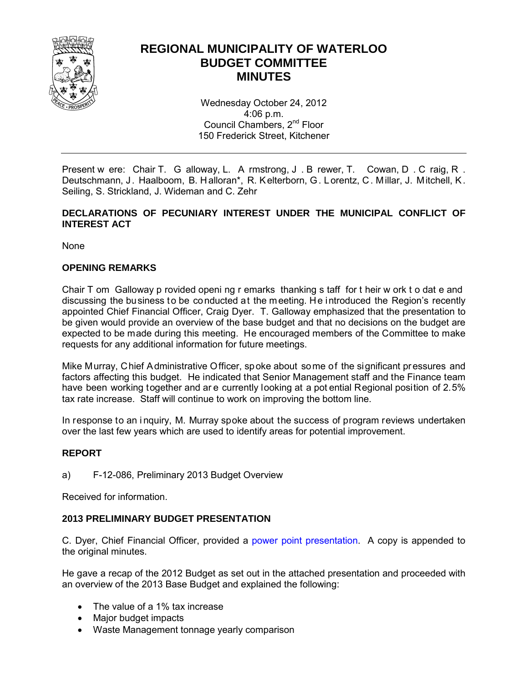

#### **REGIONAL MUNICIPALITY OF WATERLOO BUDGET COMMITTEE MINUTES**

Wednesday October 24, 2012 4:06 p.m. Council Chambers, 2<sup>nd</sup> Floor 150 Frederick Street, Kitchener

Present w ere: Chair T. G alloway, L. A rmstrong, J . B rewer, T. Cowan, D . C raig, R . Deutschmann, J. Haalboom, B. H alloran\*, R. Kelterborn, G. L orentz, C. Millar, J. Mitchell, K. Seiling, S. Strickland, J. Wideman and C. Zehr

#### **DECLARATIONS OF PECUNIARY INTEREST UNDER THE MUNICIPAL CONFLICT OF INTEREST ACT**

None

#### **OPENING REMARKS**

Chair T om Galloway p rovided openi ng r emarks thanking s taff for t heir w ork t o dat e and discussing the business to be conducted at the meeting. He introduced the Region's recently appointed Chief Financial Officer, Craig Dyer. T. Galloway emphasized that the presentation to be given would provide an overview of the base budget and that no decisions on the budget are expected to be made during this meeting. He encouraged members of the Committee to make requests for any additional information for future meetings.

Mike Murray, Chief Administrative Officer, spoke about some of the significant pressures and factors affecting this budget. He indicated that Senior Management staff and the Finance team have been working together and ar e currently looking at a pot ential Regional position of 2.5% tax rate increase. Staff will continue to work on improving the bottom line.

In response to an i nquiry, M. Murray spoke about the success of program reviews undertaken over the last few years which are used to identify areas for potential improvement.

#### **REPORT**

a) F-12-086, Preliminary 2013 Budget Overview

Received for information.

#### **2013 PRELIMINARY BUDGET PRESENTATION**

C. Dyer, Chief Financial Officer, provided a [power point presentation.](#page-3-0) A copy is appended to the original minutes.

He gave a recap of the 2012 Budget as set out in the attached presentation and proceeded with an overview of the 2013 Base Budget and explained the following:

- The value of a 1% tax increase
- Major budget impacts
- Waste Management tonnage yearly comparison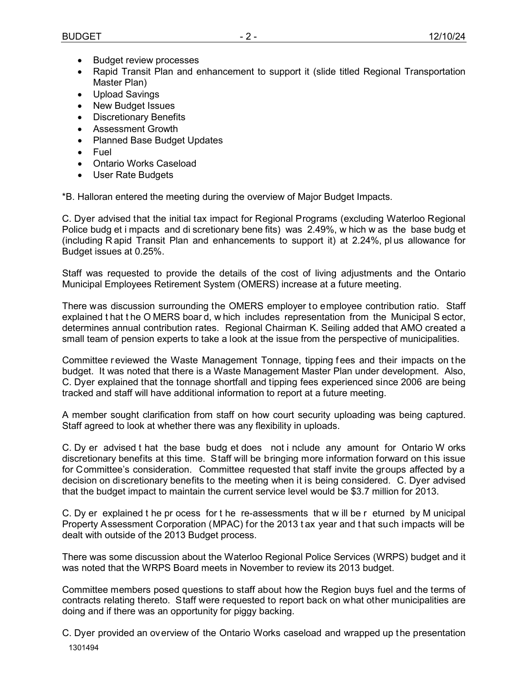- Budget review processes
- Rapid Transit Plan and enhancement to support it (slide titled Regional Transportation Master Plan)
- Upload Savings
- New Budget Issues
- Discretionary Benefits
- Assessment Growth
- Planned Base Budget Updates
- Fuel
- Ontario Works Caseload
- User Rate Budgets

\*B. Halloran entered the meeting during the overview of Major Budget Impacts.

C. Dyer advised that the initial tax impact for Regional Programs (excluding Waterloo Regional Police budg et i mpacts and di scretionary bene fits) was 2.49%, w hich w as the base budg et (including R apid Transit Plan and enhancements to support it) at 2.24%, pl us allowance for Budget issues at 0.25%.

Staff was requested to provide the details of the cost of living adjustments and the Ontario Municipal Employees Retirement System (OMERS) increase at a future meeting.

There was discussion surrounding the OMERS employer to employee contribution ratio. Staff explained t hat t he O MERS boar d, w hich includes representation from the Municipal S ector, determines annual contribution rates. Regional Chairman K. Seiling added that AMO created a small team of pension experts to take a look at the issue from the perspective of municipalities.

Committee r eviewed the Waste Management Tonnage, tipping fees and their impacts on the budget. It was noted that there is a Waste Management Master Plan under development. Also, C. Dyer explained that the tonnage shortfall and tipping fees experienced since 2006 are being tracked and staff will have additional information to report at a future meeting.

A member sought clarification from staff on how court security uploading was being captured. Staff agreed to look at whether there was any flexibility in uploads.

C. Dy er advised t hat the base budg et does not i nclude any amount for Ontario W orks discretionary benefits at this time. Staff will be bringing more information forward on this issue for Committee's consideration. Committee requested that staff invite the groups affected by a decision on discretionary benefits to the meeting when it is being considered. C. Dyer advised that the budget impact to maintain the current service level would be \$3.7 million for 2013.

C. Dy er explained t he pr ocess for t he re-assessments that w ill be r eturned by M unicipal Property Assessment Corporation (MPAC) for the 2013 t ax year and t hat such impacts will be dealt with outside of the 2013 Budget process.

There was some discussion about the Waterloo Regional Police Services (WRPS) budget and it was noted that the WRPS Board meets in November to review its 2013 budget.

Committee members posed questions to staff about how the Region buys fuel and the terms of contracts relating thereto. Staff were requested to report back on what other municipalities are doing and if there was an opportunity for piggy backing.

 1301494 C. Dyer provided an overview of the Ontario Works caseload and wrapped up the presentation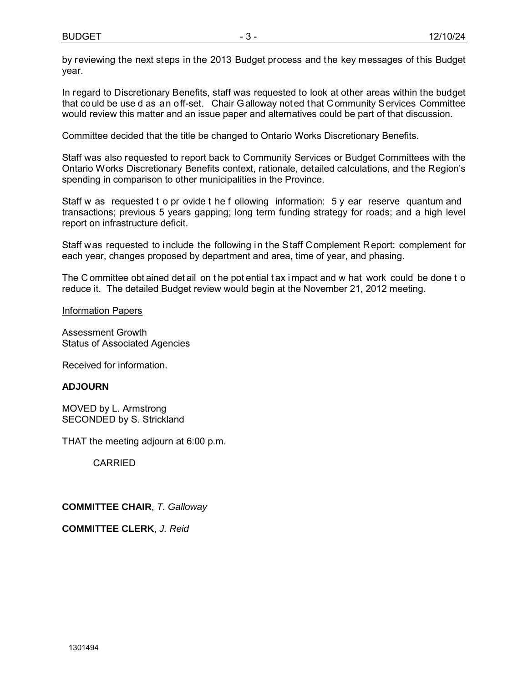by reviewing the next steps in the 2013 Budget process and the key messages of this Budget year.

In regard to Discretionary Benefits, staff was requested to look at other areas within the budget that could be use d as an off-set. Chair Galloway noted that Community Services Committee would review this matter and an issue paper and alternatives could be part of that discussion.

Committee decided that the title be changed to Ontario Works Discretionary Benefits.

Staff was also requested to report back to Community Services or Budget Committees with the Ontario Works Discretionary Benefits context, rationale, detailed calculations, and the Region's spending in comparison to other municipalities in the Province.

Staff w as requested t o pr ovide t he f ollowing information: 5 y ear reserve quantum and transactions; previous 5 years gapping; long term funding strategy for roads; and a high level report on infrastructure deficit.

Staff was requested to include the following in the Staff Complement Report: complement for each year, changes proposed by department and area, time of year, and phasing.

The C ommittee obt ained det ail on the pot ential t ax i mpact and w hat work could be done t o reduce it. The detailed Budget review would begin at the November 21, 2012 meeting.

Information Papers

Assessment Growth Status of Associated Agencies

Received for information.

#### **ADJOURN**

MOVED by L. Armstrong SECONDED by S. Strickland

THAT the meeting adjourn at 6:00 p.m.

CARRIED

**COMMITTEE CHAIR**, *T. Galloway*

**COMMITTEE CLERK**, *J. Reid*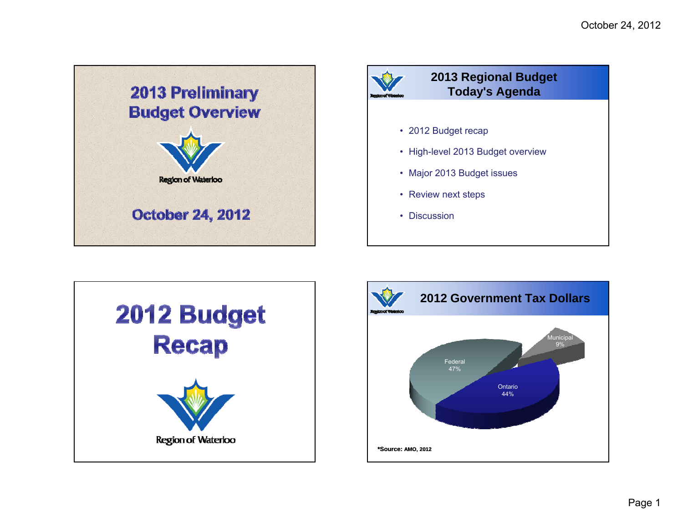<span id="page-3-0"></span>





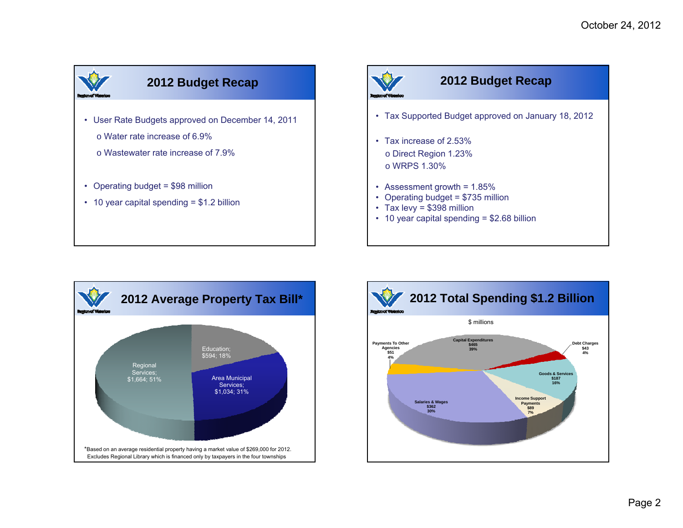

- User Rate Budgets approved on December 14, 2011
	- o Water rate increase of 6.9%
	- o Wastewater rate increase of 7.9%
- Operating budget  $= $98$  million
- 10 year capital spending = \$1.2 billion



#### **2012 Budget Recap**

- Tax Supported Budget approved on January 18, 2012
- Tax increase of 2.53% o Direct Region 1.23% o WRPS 1.30%
- Assessment growth =  $1.85\%$
- Operating budget = \$735 million
- Tax levy = \$398 million
- 10 year capital spending = \$2.68 billion



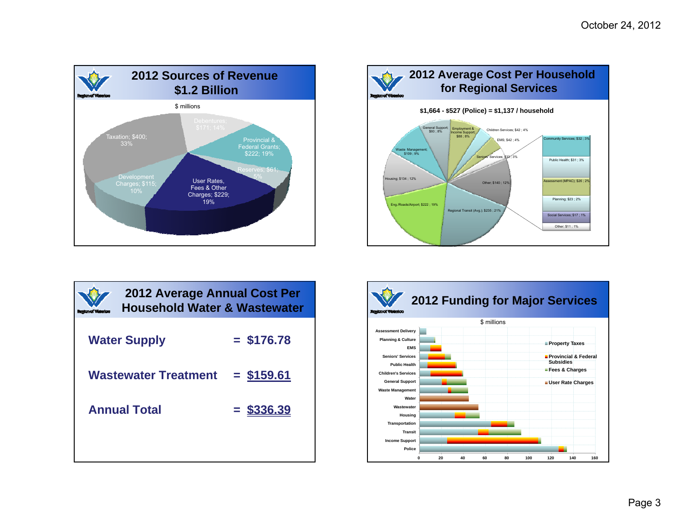



| 2012 Average Annual Cost Per<br><b>Household Water &amp; Wastewater</b> |              |  |
|-------------------------------------------------------------------------|--------------|--|
| <b>Water Supply</b>                                                     | $=$ \$176.78 |  |
| <b>Wastewater Treatment</b>                                             | $=$ \$159.61 |  |
| <b>Annual Total</b>                                                     | $=$ \$336.39 |  |
|                                                                         |              |  |

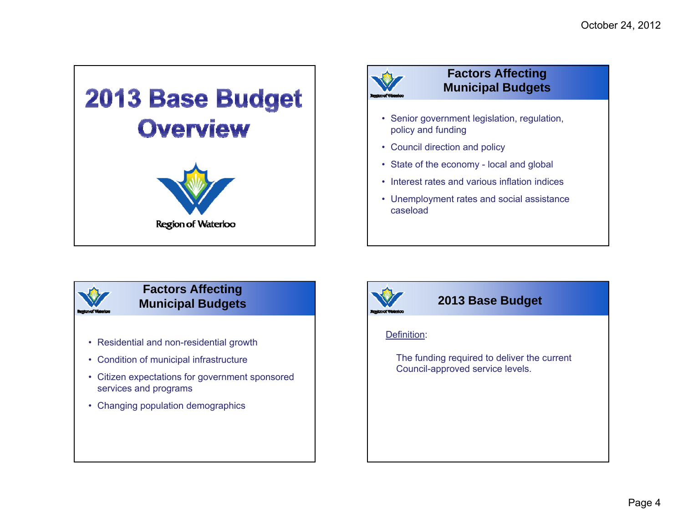

# **Factors Affecting Municipal Budgets**

- Senior government legislation, regulation, policy and funding
- Council direction and policy
- State of the economy local and global
- Interest rates and various inflation indices
- Unemployment rates and social assistance caseload

# **Factors Affecting Municipal Budgets**

- Residential and non-residential growth
- Condition of municipal infrastructure
- Citizen expectations for government sponsored services and programs
- Changing population demographics



### **2013 Base Budget**

#### Definition:

The funding required to deliver the current Council-approved service levels.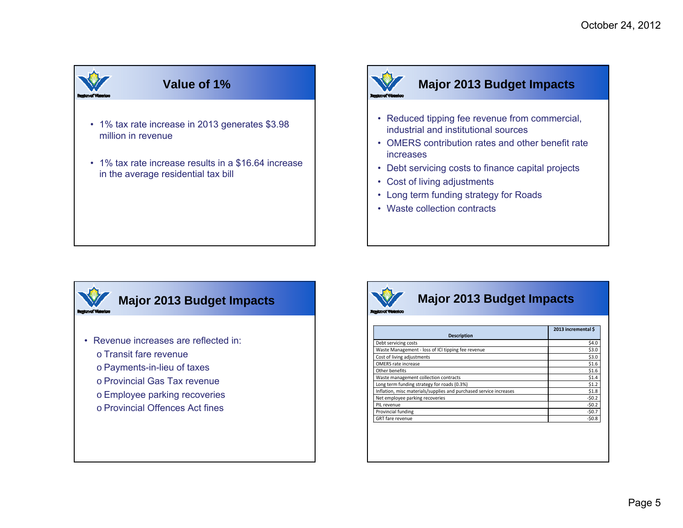# **Value of 1%**

- 1% tax rate increase in 2013 generates \$3.98 million in revenue
- 1% tax rate increase results in a \$16.64 increase in the average residential tax bill



# **Major 2013 Budget Impacts**

- Reduced tipping fee revenue from commercial, industrial and institutional sources
- OMERS contribution rates and other benefit rate increases
- Debt servicing costs to finance capital projects
- Cost of living adjustments
- Long term funding strategy for Roads
- Waste collection contracts

# **Major 2013 Budget Impacts**

- Revenue increases are reflected in:
	- o Transit fare revenue
	- o Payments-in-lieu of taxes
	- o Provincial Gas Tax revenue
	- o Employee parking recoveries
	- o Provincial Offences Act fines



# **Major 2013 Budget Impacts**

|                                                                    | 2013 incremental \$ |
|--------------------------------------------------------------------|---------------------|
| <b>Description</b>                                                 |                     |
| Debt servicing costs                                               | \$4.0               |
| Waste Management - loss of ICI tipping fee revenue                 | \$3.0               |
| Cost of living adjustments                                         | \$3.0               |
| OMERS rate increase                                                | \$1.6               |
| Other benefits                                                     | \$1.6               |
| Waste management collection contracts                              | \$1.4               |
| Long term funding strategy for roads (0.3%)                        | \$1.2               |
| Inflation, misc materials/supplies and purchased service increases | \$1.8               |
| Net employee parking recoveries                                    | $-50.2$             |
| PIL revenue                                                        | $-50.2$             |
| Provincial funding                                                 | $-50.7$             |
| <b>GRT</b> fare revenue                                            | $-50.8$             |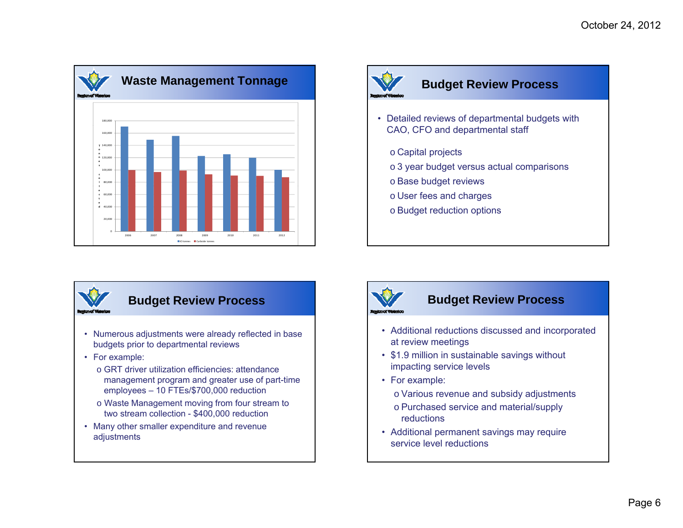



### **Budget Review Process**

- Detailed reviews of departmental budgets with CAO, CFO and departmental staff
	- $\circ$  Capital projects
	- $\circ$  3 year budget versus actual comparisons
	- o Base budget reviews
	- o User fees and charges
	- o Budget reduction options



# **Budget Review Process**

- Numerous adjustments were already reflected in base budgets prior to departmental reviews
- For example:
	- o GRT driver utilization efficiencies: attendance management program and greater use of part-time employees – 10 FTEs/\$700,000 reduction
	- o Waste Management moving from four stream to two stream collection - \$400,000 reduction
- Many other smaller expenditure and revenue adjustments



#### **Budget Review Process**

- Additional reductions discussed and incorporated at review meetings
- \$1.9 million in sustainable savings without impacting service levels
- For example:
	- o Various revenue and subsidy adjustments
	- o Purchased service and material/supply reductions
- Additional permanent savings may require service level reductions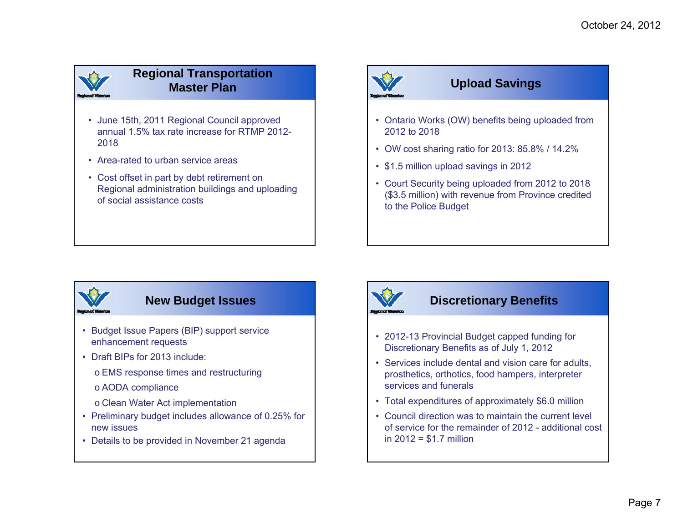### **Regional Transportation Master Plan**

- June 15th, 2011 Regional Council approved annual 1.5% tax rate increase for RTMP 2012-2018
- Area-rated to urban service areas
- Cost offset in part by debt retirement on Regional administration buildings and uploading of social assistance costs



# **Upload Savings**

- Ontario Works (OW) benefits being uploaded from 2012 to 2018
- OW cost sharing ratio for 2013: 85.8% / 14.2%
- \$1.5 million upload savings in 2012
- Court Security being uploaded from 2012 to 2018 (\$3.5 million) with revenue from Province credited to the Police Budget



### **New Budget Issues**

- Budget Issue Papers (BIP) support service enhancement requests
- Draft BIPs for 2013 include:
	- o EMS response times and restructuring
	- o AODA compliance
	- o Clean Water Act implementation
- Preliminary budget includes allowance of 0.25% for new issues
- Details to be provided in November 21 agenda



### **Discretionary Benefits**

- 2012-13 Provincial Budget capped funding for Discretionary Benefits as of July 1, 2012
- Services include dental and vision care for adults, prosthetics, orthotics, food hampers, interpreter services and funerals
- Total expenditures of approximately \$6.0 million
- Council direction was to maintain the current level of service for the remainder of 2012 - additional cost in 2012 = \$1.7 million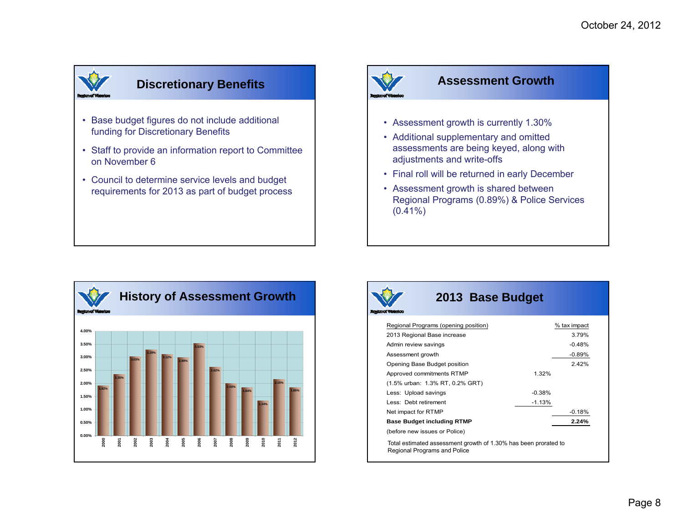# **Discretionary Benefits**

- Base budget figures do not include additional funding for Discretionary Benefits
- Staff to provide an information report to Committee on November 6
- Council to determine service levels and budget requirements for 2013 as part of budget process



#### **Assessment Growth**

- Assessment growth is currently 1.30%
- Additional supplementary and omitted assessments are being keyed, along with adjustments and write-offs
- Final roll will be returned in early December
- Assessment growth is shared between Regional Programs (0.89%) & Police Services (0.41%)





### **2013 Base Budget**

| Regional Programs (opening position)                                                            |          | % tax impact |
|-------------------------------------------------------------------------------------------------|----------|--------------|
| 2013 Regional Base increase                                                                     |          | 3.79%        |
| Admin review savings                                                                            |          | $-0.48%$     |
| Assessment growth                                                                               |          | $-0.89%$     |
| Opening Base Budget position                                                                    |          | 2.42%        |
| Approved commitments RTMP                                                                       | 1.32%    |              |
| (1.5% urban: 1.3% RT, 0.2% GRT)                                                                 |          |              |
| Less: Upload savings                                                                            | $-0.38%$ |              |
| Less: Debt retirement                                                                           | $-1.13%$ |              |
| Net impact for RTMP                                                                             |          | $-0.18%$     |
| <b>Base Budget including RTMP</b>                                                               |          | 2.24%        |
| (before new issues or Police)                                                                   |          |              |
| Total estimated assessment growth of 1.30% has been prorated to<br>Regional Programs and Police |          |              |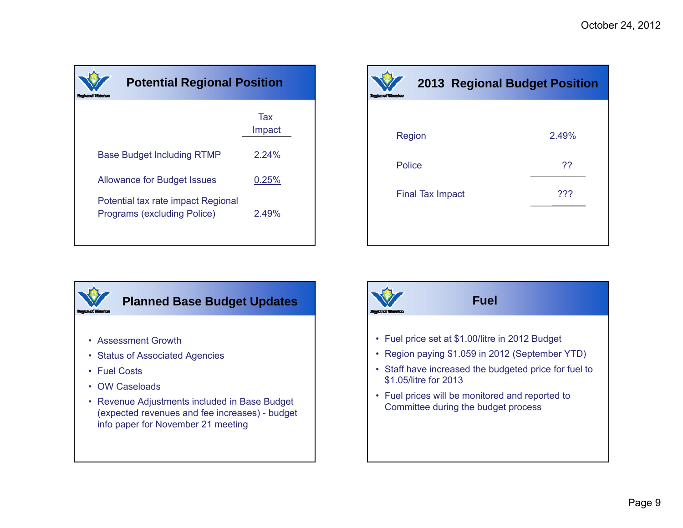| <b>Potential Regional Position</b>                                |               |
|-------------------------------------------------------------------|---------------|
|                                                                   | Tax<br>Impact |
| <b>Base Budget Including RTMP</b>                                 | 2.24%         |
| <b>Allowance for Budget Issues</b>                                | 0.25%         |
| Potential tax rate impact Regional<br>Programs (excluding Police) | 2.49%         |

|               |                         | <b>2013 Regional Budget Position</b> |
|---------------|-------------------------|--------------------------------------|
|               |                         |                                      |
|               | Region                  | 2.49%                                |
| <b>Police</b> |                         | ??                                   |
|               | <b>Final Tax Impact</b> | ???                                  |
|               |                         |                                      |
|               |                         |                                      |



- Assessment Growth
- Status of Associated Agencies
- Fuel Costs
- OW Caseloads
- Revenue Adjustments included in Base Budget (expected revenues and fee increases) - budget info paper for November 21 meeting

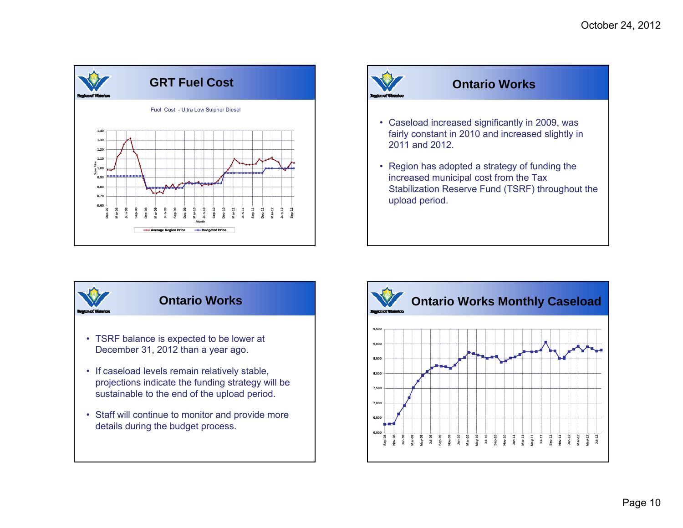





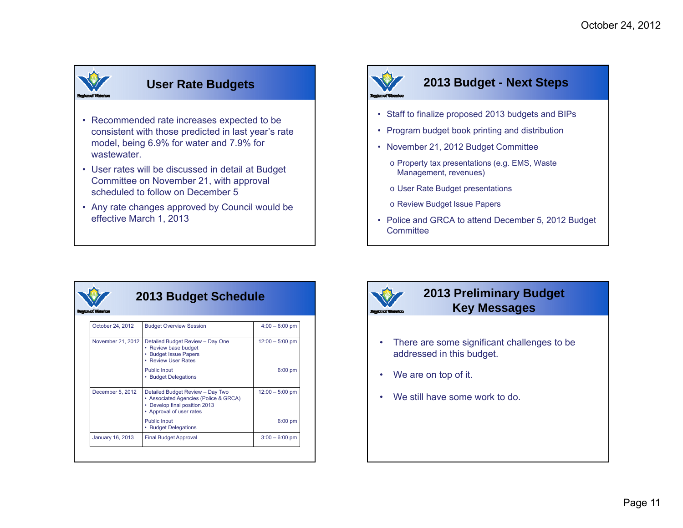# **User Rate Budgets**

- Recommended rate increases expected to be consistent with those predicted in last year's rate model, being 6.9% for water and 7.9% for wastewater.
- User rates will be discussed in detail at Budget Committee on November 21, with approval scheduled to follow on December 5
- Any rate changes approved by Council would be effective March 1, 2013

# **2013 Budget - Next Steps**

- Staff to finalize proposed 2013 budgets and BIPs
- Program budget book printing and distribution
- November 21, 2012 Budget Committee
	- o Property tax presentations (e.g. EMS, Waste Management, revenues)
	- $\circ$  User Rate Budget presentations
	- o Review Budget Issue Papers
- Police and GRCA to attend December 5, 2012 Budget **Committee**



#### **2013 Budget Schedule**

| October 24, 2012  | <b>Budget Overview Session</b>                                                                                                         | $4:00 - 6:00$ pm  |
|-------------------|----------------------------------------------------------------------------------------------------------------------------------------|-------------------|
| November 21, 2012 | Detailed Budget Review - Day One<br>• Review base budget<br><b>Budget Issue Papers</b><br>• Review User Rates                          | $12:00 - 5:00$ pm |
|                   | <b>Public Input</b><br>• Budget Delegations                                                                                            | $6:00$ pm         |
| December 5, 2012  | Detailed Budget Review - Day Two<br>• Associated Agencies (Police & GRCA)<br>• Develop final position 2013<br>• Approval of user rates | $12:00 - 5:00$ pm |
|                   | <b>Public Input</b><br>• Budget Delegations                                                                                            | $6:00$ pm         |
| January 16, 2013  | <b>Final Budget Approval</b>                                                                                                           | $3:00 - 6:00$ pm  |